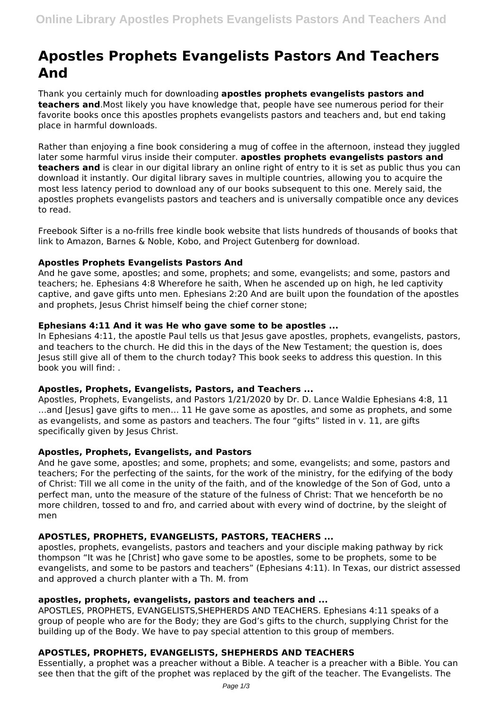# **Apostles Prophets Evangelists Pastors And Teachers And**

Thank you certainly much for downloading **apostles prophets evangelists pastors and teachers and**.Most likely you have knowledge that, people have see numerous period for their favorite books once this apostles prophets evangelists pastors and teachers and, but end taking place in harmful downloads.

Rather than enjoying a fine book considering a mug of coffee in the afternoon, instead they juggled later some harmful virus inside their computer. **apostles prophets evangelists pastors and teachers and** is clear in our digital library an online right of entry to it is set as public thus you can download it instantly. Our digital library saves in multiple countries, allowing you to acquire the most less latency period to download any of our books subsequent to this one. Merely said, the apostles prophets evangelists pastors and teachers and is universally compatible once any devices to read.

Freebook Sifter is a no-frills free kindle book website that lists hundreds of thousands of books that link to Amazon, Barnes & Noble, Kobo, and Project Gutenberg for download.

## **Apostles Prophets Evangelists Pastors And**

And he gave some, apostles; and some, prophets; and some, evangelists; and some, pastors and teachers; he. Ephesians 4:8 Wherefore he saith, When he ascended up on high, he led captivity captive, and gave gifts unto men. Ephesians 2:20 And are built upon the foundation of the apostles and prophets, Jesus Christ himself being the chief corner stone;

## **Ephesians 4:11 And it was He who gave some to be apostles ...**

In Ephesians 4:11, the apostle Paul tells us that Jesus gave apostles, prophets, evangelists, pastors, and teachers to the church. He did this in the days of the New Testament; the question is, does Jesus still give all of them to the church today? This book seeks to address this question. In this book you will find: .

# **Apostles, Prophets, Evangelists, Pastors, and Teachers ...**

Apostles, Prophets, Evangelists, and Pastors 1/21/2020 by Dr. D. Lance Waldie Ephesians 4:8, 11 …and [Jesus] gave gifts to men… 11 He gave some as apostles, and some as prophets, and some as evangelists, and some as pastors and teachers. The four "gifts" listed in v. 11, are gifts specifically given by Jesus Christ.

#### **Apostles, Prophets, Evangelists, and Pastors**

And he gave some, apostles; and some, prophets; and some, evangelists; and some, pastors and teachers; For the perfecting of the saints, for the work of the ministry, for the edifying of the body of Christ: Till we all come in the unity of the faith, and of the knowledge of the Son of God, unto a perfect man, unto the measure of the stature of the fulness of Christ: That we henceforth be no more children, tossed to and fro, and carried about with every wind of doctrine, by the sleight of men

# **APOSTLES, PROPHETS, EVANGELISTS, PASTORS, TEACHERS ...**

apostles, prophets, evangelists, pastors and teachers and your disciple making pathway by rick thompson "It was he [Christ] who gave some to be apostles, some to be prophets, some to be evangelists, and some to be pastors and teachers" (Ephesians 4:11). In Texas, our district assessed and approved a church planter with a Th. M. from

# **apostles, prophets, evangelists, pastors and teachers and ...**

APOSTLES, PROPHETS, EVANGELISTS,SHEPHERDS AND TEACHERS. Ephesians 4:11 speaks of a group of people who are for the Body; they are God's gifts to the church, supplying Christ for the building up of the Body. We have to pay special attention to this group of members.

# **APOSTLES, PROPHETS, EVANGELISTS, SHEPHERDS AND TEACHERS**

Essentially, a prophet was a preacher without a Bible. A teacher is a preacher with a Bible. You can see then that the gift of the prophet was replaced by the gift of the teacher. The Evangelists. The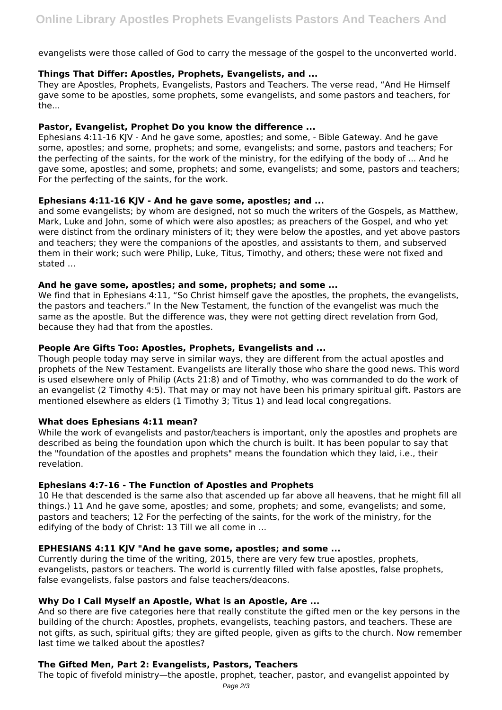evangelists were those called of God to carry the message of the gospel to the unconverted world.

## **Things That Differ: Apostles, Prophets, Evangelists, and ...**

They are Apostles, Prophets, Evangelists, Pastors and Teachers. The verse read, "And He Himself gave some to be apostles, some prophets, some evangelists, and some pastors and teachers, for the...

## **Pastor, Evangelist, Prophet Do you know the difference ...**

Ephesians 4:11-16 KJV - And he gave some, apostles; and some, - Bible Gateway. And he gave some, apostles; and some, prophets; and some, evangelists; and some, pastors and teachers; For the perfecting of the saints, for the work of the ministry, for the edifying of the body of ... And he gave some, apostles; and some, prophets; and some, evangelists; and some, pastors and teachers; For the perfecting of the saints, for the work.

## **Ephesians 4:11-16 KJV - And he gave some, apostles; and ...**

and some evangelists; by whom are designed, not so much the writers of the Gospels, as Matthew, Mark, Luke and John, some of which were also apostles; as preachers of the Gospel, and who yet were distinct from the ordinary ministers of it; they were below the apostles, and yet above pastors and teachers; they were the companions of the apostles, and assistants to them, and subserved them in their work; such were Philip, Luke, Titus, Timothy, and others; these were not fixed and stated ...

## **And he gave some, apostles; and some, prophets; and some ...**

We find that in Ephesians 4:11, "So Christ himself gave the apostles, the prophets, the evangelists, the pastors and teachers." In the New Testament, the function of the evangelist was much the same as the apostle. But the difference was, they were not getting direct revelation from God, because they had that from the apostles.

## **People Are Gifts Too: Apostles, Prophets, Evangelists and ...**

Though people today may serve in similar ways, they are different from the actual apostles and prophets of the New Testament. Evangelists are literally those who share the good news. This word is used elsewhere only of Philip (Acts 21:8) and of Timothy, who was commanded to do the work of an evangelist (2 Timothy 4:5). That may or may not have been his primary spiritual gift. Pastors are mentioned elsewhere as elders (1 Timothy 3; Titus 1) and lead local congregations.

# **What does Ephesians 4:11 mean?**

While the work of evangelists and pastor/teachers is important, only the apostles and prophets are described as being the foundation upon which the church is built. It has been popular to say that the "foundation of the apostles and prophets" means the foundation which they laid, i.e., their revelation.

# **Ephesians 4:7-16 - The Function of Apostles and Prophets**

10 He that descended is the same also that ascended up far above all heavens, that he might fill all things.) 11 And he gave some, apostles; and some, prophets; and some, evangelists; and some, pastors and teachers; 12 For the perfecting of the saints, for the work of the ministry, for the edifying of the body of Christ: 13 Till we all come in ...

# **EPHESIANS 4:11 KJV "And he gave some, apostles; and some ...**

Currently during the time of the writing, 2015, there are very few true apostles, prophets, evangelists, pastors or teachers. The world is currently filled with false apostles, false prophets, false evangelists, false pastors and false teachers/deacons.

# **Why Do I Call Myself an Apostle, What is an Apostle, Are ...**

And so there are five categories here that really constitute the gifted men or the key persons in the building of the church: Apostles, prophets, evangelists, teaching pastors, and teachers. These are not gifts, as such, spiritual gifts; they are gifted people, given as gifts to the church. Now remember last time we talked about the apostles?

# **The Gifted Men, Part 2: Evangelists, Pastors, Teachers**

The topic of fivefold ministry—the apostle, prophet, teacher, pastor, and evangelist appointed by